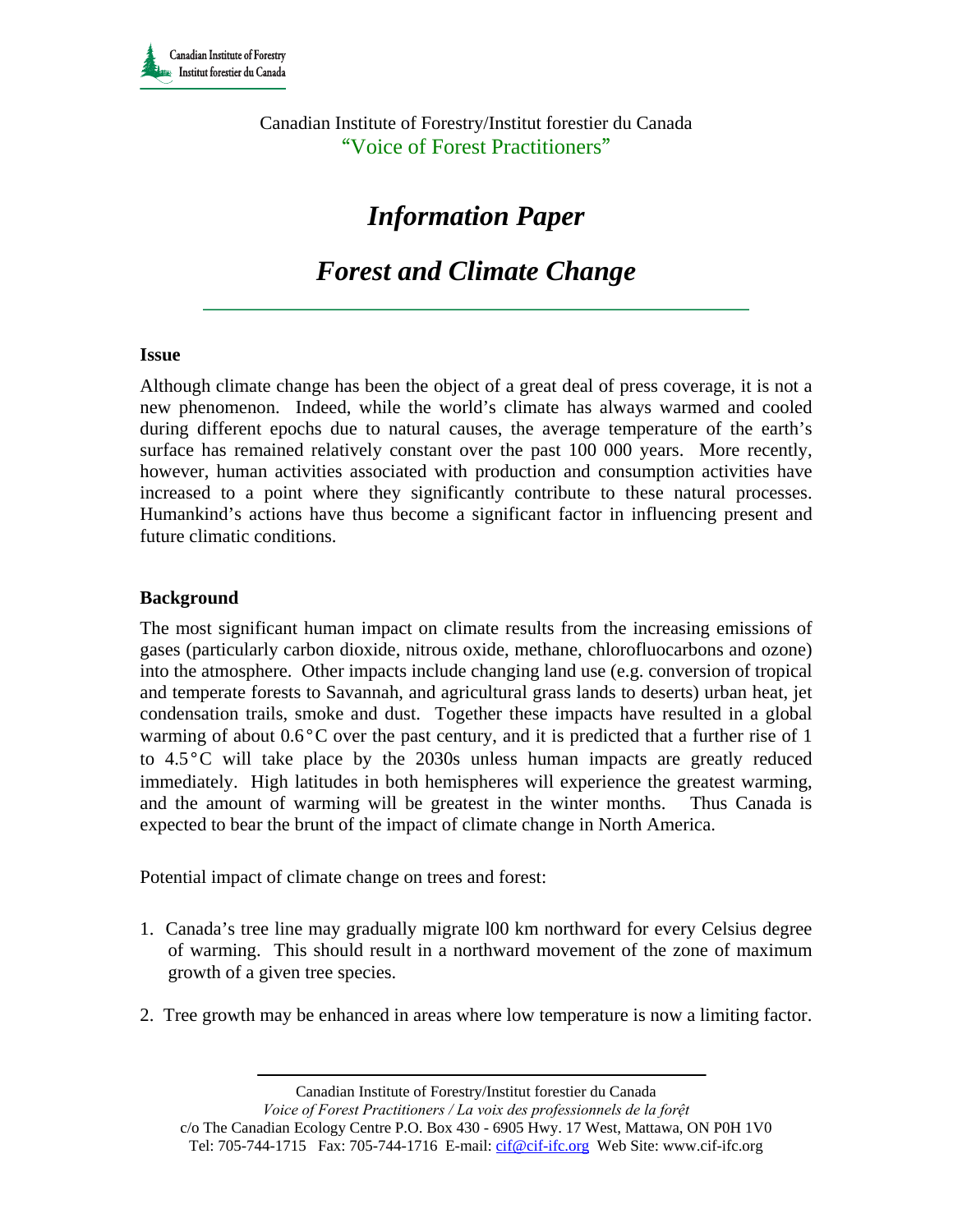Canadian Institute of Forestry/Institut forestier du Canada "Voice of Forest Practitioners"

# *Information Paper*

# *Forest and Climate Change*

#### **Issue**

Although climate change has been the object of a great deal of press coverage, it is not a new phenomenon. Indeed, while the world's climate has always warmed and cooled during different epochs due to natural causes, the average temperature of the earth's surface has remained relatively constant over the past 100 000 years. More recently, however, human activities associated with production and consumption activities have increased to a point where they significantly contribute to these natural processes. Humankind's actions have thus become a significant factor in influencing present and future climatic conditions.

#### **Background**

The most significant human impact on climate results from the increasing emissions of gases (particularly carbon dioxide, nitrous oxide, methane, chlorofluocarbons and ozone) into the atmosphere. Other impacts include changing land use (e.g. conversion of tropical and temperate forests to Savannah, and agricultural grass lands to deserts) urban heat, jet condensation trails, smoke and dust. Together these impacts have resulted in a global warming of about 0.6°C over the past century, and it is predicted that a further rise of 1 to 4.5°C will take place by the 2030s unless human impacts are greatly reduced immediately. High latitudes in both hemispheres will experience the greatest warming, and the amount of warming will be greatest in the winter months. Thus Canada is expected to bear the brunt of the impact of climate change in North America.

Potential impact of climate change on trees and forest:

- 1. Canada's tree line may gradually migrate l00 km northward for every Celsius degree of warming. This should result in a northward movement of the zone of maximum growth of a given tree species.
- 2. Tree growth may be enhanced in areas where low temperature is now a limiting factor.

Canadian Institute of Forestry/Institut forestier du Canada

*Voice of Forest Practitioners / La voix des professionnels de la forệt*  c/o The Canadian Ecology Centre P.O. Box 430 - 6905 Hwy. 17 West, Mattawa, ON P0H 1V0 Tel: 705-744-1715 Fax: 705-744-1716 E-mail: cif@cif-ifc.org Web Site: www.cif-ifc.org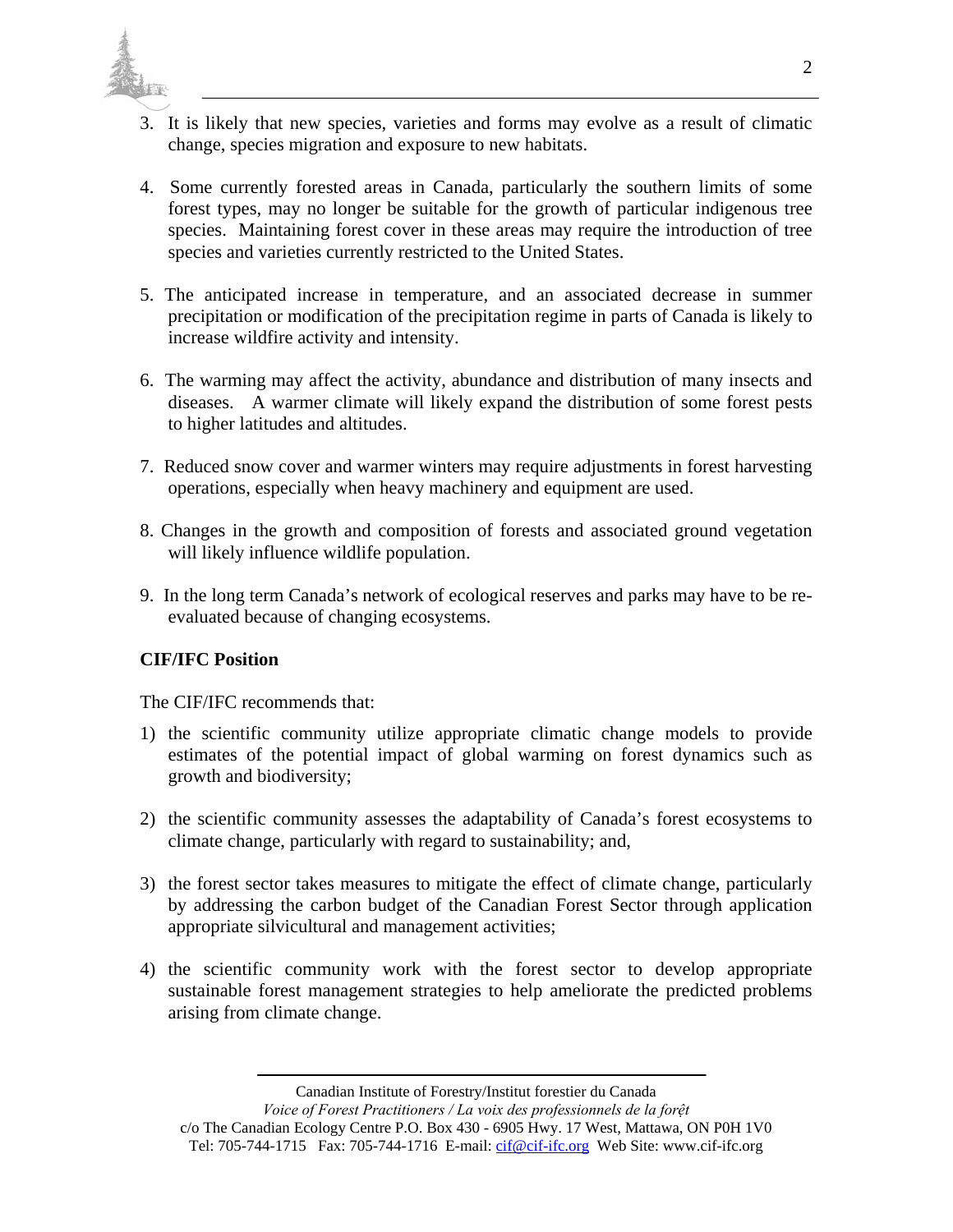

- 3. It is likely that new species, varieties and forms may evolve as a result of climatic change, species migration and exposure to new habitats.
- 4. Some currently forested areas in Canada, particularly the southern limits of some forest types, may no longer be suitable for the growth of particular indigenous tree species. Maintaining forest cover in these areas may require the introduction of tree species and varieties currently restricted to the United States.
- 5. The anticipated increase in temperature, and an associated decrease in summer precipitation or modification of the precipitation regime in parts of Canada is likely to increase wildfire activity and intensity.
- 6. The warming may affect the activity, abundance and distribution of many insects and diseases. A warmer climate will likely expand the distribution of some forest pests to higher latitudes and altitudes.
- 7. Reduced snow cover and warmer winters may require adjustments in forest harvesting operations, especially when heavy machinery and equipment are used.
- 8. Changes in the growth and composition of forests and associated ground vegetation will likely influence wildlife population.
- 9. In the long term Canada's network of ecological reserves and parks may have to be reevaluated because of changing ecosystems.

## **CIF/IFC Position**

The CIF/IFC recommends that:

- 1) the scientific community utilize appropriate climatic change models to provide estimates of the potential impact of global warming on forest dynamics such as growth and biodiversity;
- 2) the scientific community assesses the adaptability of Canada's forest ecosystems to climate change, particularly with regard to sustainability; and,
- 3) the forest sector takes measures to mitigate the effect of climate change, particularly by addressing the carbon budget of the Canadian Forest Sector through application appropriate silvicultural and management activities;
- 4) the scientific community work with the forest sector to develop appropriate sustainable forest management strategies to help ameliorate the predicted problems arising from climate change.

Canadian Institute of Forestry/Institut forestier du Canada

*Voice of Forest Practitioners / La voix des professionnels de la forệt*  c/o The Canadian Ecology Centre P.O. Box 430 - 6905 Hwy. 17 West, Mattawa, ON P0H 1V0 Tel: 705-744-1715 Fax: 705-744-1716 E-mail: cif@cif-ifc.org Web Site: www.cif-ifc.org